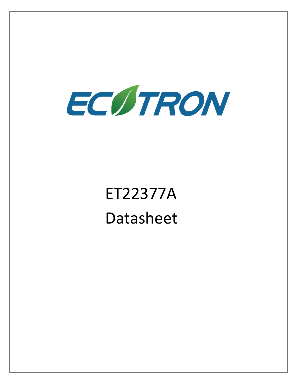

# ET22377A Datasheet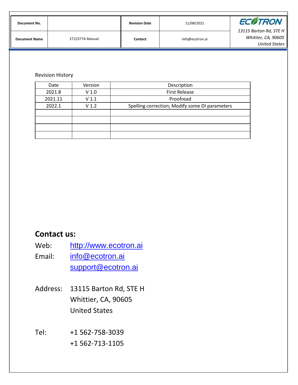| Document No.         |                 | <b>Revision Date</b> | 11/08/2021      | <b>ECOTRON</b>                                                        |
|----------------------|-----------------|----------------------|-----------------|-----------------------------------------------------------------------|
| <b>Document Name</b> | ET22377A Manual | Contact              | info@ecotron.ai | 13115 Barton Rd, STE H<br>Whittier, CA, 90605<br><b>United States</b> |

#### Revision History

| Date    | Version          | Description                                    |
|---------|------------------|------------------------------------------------|
| 2021.8  | V <sub>1.0</sub> | <b>First Release</b>                           |
| 2021.11 | V <sub>1.1</sub> | Proofread                                      |
| 2022.1  | V <sub>1.2</sub> | Spelling correction; Modify some DI parameters |
|         |                  |                                                |
|         |                  |                                                |
|         |                  |                                                |
|         |                  |                                                |

### **Contact us:**

- Web: [http://www.ecotron.ai](http://www.ecotrons.com/)
- Email: [info@ecotron.ai](mailto:info@ecotrons.com) [support@ecotron.ai](mailto:ev-support@ecotrons.com)
- Address: 13115 Barton Rd, STE H Whittier, CA, 90605 United States

Tel: +1 562-758-3039 +1 562-713-1105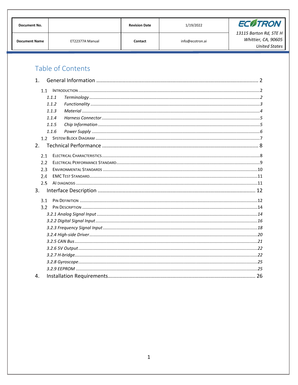| <b>Document No.</b>  |                 | <b>Revision Date</b> | 1/19/2022       | <b>ECOTRON</b>         |
|----------------------|-----------------|----------------------|-----------------|------------------------|
|                      |                 |                      |                 | 13115 Barton Rd, STE H |
| <b>Document Name</b> | ET22377A Manual | Contact              | info@ecotron.ai | Whittier, CA, 90605    |
|                      |                 |                      |                 | <b>United States</b>   |

### Table of Contents

| 1 <sub>1</sub> |       |  |  |  |  |
|----------------|-------|--|--|--|--|
| 1.1            |       |  |  |  |  |
|                | 1.1.1 |  |  |  |  |
|                | 1.1.2 |  |  |  |  |
|                | 1.1.3 |  |  |  |  |
|                | 1.1.4 |  |  |  |  |
|                | 1.1.5 |  |  |  |  |
|                | 1.1.6 |  |  |  |  |
|                | 1.2   |  |  |  |  |
| 2.             |       |  |  |  |  |
| 2.1            |       |  |  |  |  |
| 2.2            |       |  |  |  |  |
| 2.3            |       |  |  |  |  |
| 2.4            |       |  |  |  |  |
|                | 2.5   |  |  |  |  |
| 3.             |       |  |  |  |  |
|                | 3.1   |  |  |  |  |
|                | 3.2   |  |  |  |  |
|                |       |  |  |  |  |
|                |       |  |  |  |  |
|                |       |  |  |  |  |
|                |       |  |  |  |  |
|                |       |  |  |  |  |
|                |       |  |  |  |  |
|                |       |  |  |  |  |
|                |       |  |  |  |  |
|                |       |  |  |  |  |
| $\mathbf{4}$ . |       |  |  |  |  |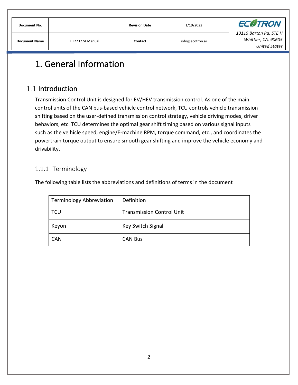| <b>Document No.</b>  |                 | <b>Revision Date</b> | 1/19/2022       | <b>ECOTRON</b>                                                 |
|----------------------|-----------------|----------------------|-----------------|----------------------------------------------------------------|
| <b>Document Name</b> | ET22377A Manual | Contact              | info@ecotron.ai | 13115 Barton Rd, STE H<br>Whittier, CA, 90605<br>United States |

# <span id="page-3-0"></span>1. General Information

### <span id="page-3-1"></span>1.1 Introduction

Transmission Control Unit is designed for EV/HEV transmission control. As one of the main control units of the CAN bus-based vehicle control network, TCU controls vehicle transmission shifting based on the user-defined transmission control strategy, vehicle driving modes, driver behaviors, etc. TCU determines the optimal gear shift timing based on various signal inputs such as the ve hicle speed, engine/E-machine RPM, torque command, etc., and coordinates the powertrain torque output to ensure smooth gear shifting and improve the vehicle economy and drivability.

#### <span id="page-3-2"></span>1.1.1 Terminology

The following table lists the abbreviations and definitions of terms in the document

| Terminology Abbreviation | Definition                       |
|--------------------------|----------------------------------|
| <b>TCU</b>               | <b>Transmission Control Unit</b> |
| Keyon                    | Key Switch Signal                |
| <b>CAN</b>               | <b>CAN Bus</b>                   |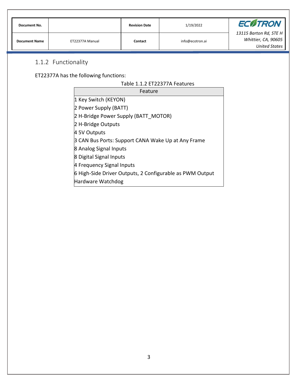| Document No.         |                 | <b>Revision Date</b> | 1/19/2022       | <b>ECOTRON</b>                                                        |
|----------------------|-----------------|----------------------|-----------------|-----------------------------------------------------------------------|
| <b>Document Name</b> | ET22377A Manual | Contact              | info@ecotron.ai | 13115 Barton Rd, STE H<br>Whittier, CA, 90605<br><b>United States</b> |

### <span id="page-4-0"></span>1.1.2 Functionality

ET22377A has the following functions:

| Feature                                                  |
|----------------------------------------------------------|
| 1 Key Switch (KEYON)                                     |
| 2 Power Supply (BATT)                                    |
| 2 H-Bridge Power Supply (BATT MOTOR)                     |
| 2 H-Bridge Outputs                                       |
| 4 5V Outputs                                             |
| 3 CAN Bus Ports: Support CANA Wake Up at Any Frame       |
| 8 Analog Signal Inputs                                   |
| 8 Digital Signal Inputs                                  |
| 4 Frequency Signal Inputs                                |
| 6 High-Side Driver Outputs, 2 Configurable as PWM Output |
| Hardware Watchdog                                        |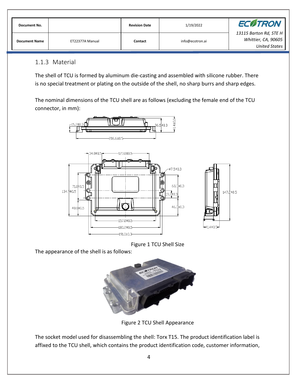| Document No.         |                 | <b>Revision Date</b> | 1/19/2022       | <b>ECOTRON</b>                                                        |
|----------------------|-----------------|----------------------|-----------------|-----------------------------------------------------------------------|
| <b>Document Name</b> | ET22377A Manual | Contact              | info@ecotron.ai | 13115 Barton Rd, STE H<br>Whittier, CA, 90605<br><b>United States</b> |

#### <span id="page-5-0"></span>1.1.3 Material

The shell of TCU is formed by aluminum die-casting and assembled with silicone rubber. There is no special treatment or plating on the outside of the shell, no sharp burrs and sharp edges.

The nominal dimensions of the TCU shell are as follows (excluding the female end of the TCU connector, in mm):





147.2±0.5

The appearance of the shell is as follows:



Figure 2 TCU Shell Appearance

The socket model used for disassembling the shell: Torx T15. The product identification label is affixed to the TCU shell, which contains the product identification code, customer information,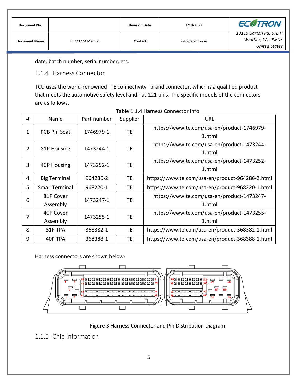| Document No.         |                 | <b>Revision Date</b> | 1/19/2022       | <b>ECOTRON</b>                                                        |
|----------------------|-----------------|----------------------|-----------------|-----------------------------------------------------------------------|
| <b>Document Name</b> | ET22377A Manual | Contact              | info@ecotron.ai | 13115 Barton Rd, STE H<br>Whittier, CA, 90605<br><b>United States</b> |

date, batch number, serial number, etc.

<span id="page-6-0"></span>1.1.4 Harness Connector

TCU uses the world-renowned "TE connectivity" brand connector, which is a qualified product that meets the automotive safety level and has 121 pins. The specific models of the connectors are as follows.

| #              | Name                  | Part number | Supplier  | URL                                             |
|----------------|-----------------------|-------------|-----------|-------------------------------------------------|
| 1              | <b>PCB Pin Seat</b>   | 1746979-1   | TE        | https://www.te.com/usa-en/product-1746979-      |
|                |                       |             |           | 1.html                                          |
| $\overline{2}$ | 81P Housing           | 1473244-1   | TE        | https://www.te.com/usa-en/product-1473244-      |
|                |                       |             |           | 1.html                                          |
| 3              | 40P Housing           | 1473252-1   | TE        | https://www.te.com/usa-en/product-1473252-      |
|                |                       |             |           | 1.html                                          |
| 4              | <b>Big Terminal</b>   | 964286-2    | <b>TE</b> | https://www.te.com/usa-en/product-964286-2.html |
| 5              | <b>Small Terminal</b> | 968220-1    | <b>TE</b> | https://www.te.com/usa-en/product-968220-1.html |
| 6              | 81P Cover             | 1473247-1   | <b>TE</b> | https://www.te.com/usa-en/product-1473247-      |
|                | Assembly              |             |           | 1.html                                          |
| 7              | 40P Cover             | 1473255-1   | <b>TE</b> | https://www.te.com/usa-en/product-1473255-      |
|                | Assembly              |             | 1.html    |                                                 |
| 8              | 81P TPA               | 368382-1    | <b>TE</b> | https://www.te.com/usa-en/product-368382-1.html |
| 9              | 40P TPA               | 368388-1    | <b>TE</b> | https://www.te.com/usa-en/product-368388-1.html |

| Table 1.1.4 Harness Connector Info |
|------------------------------------|
|------------------------------------|

Harness connectors are shown below:



Figure 3 Harness Connector and Pin Distribution Diagram

#### <span id="page-6-1"></span>1.1.5 Chip Information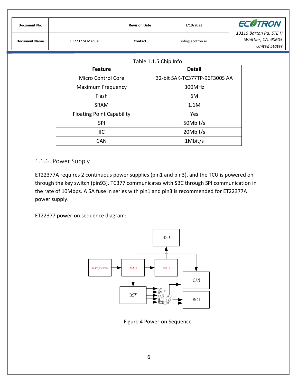|  | Document No.         |                 | <b>Revision Date</b> | 1/19/2022       | <b>ECOTRON</b>         |
|--|----------------------|-----------------|----------------------|-----------------|------------------------|
|  |                      |                 |                      |                 | 13115 Barton Rd, STE H |
|  | <b>Document Name</b> | ET22377A Manual | Contact              | info@ecotron.ai | Whittier, CA, 90605    |
|  |                      |                 |                      |                 | <b>United States</b>   |

| <b>Feature</b>                   | <b>Detail</b>                 |
|----------------------------------|-------------------------------|
| Micro Control Core               | 32-bit SAK-TC377TP-96F300S AA |
| <b>Maximum Frequency</b>         | 300MHz                        |
| Flash                            | 6M                            |
| <b>SRAM</b>                      | 1.1M                          |
| <b>Floating Point Capability</b> | Yes                           |
| <b>SPI</b>                       | 50Mbit/s                      |
| ШC                               | 20Mbit/s                      |
| CAN                              | 1Mbit/s                       |

#### <span id="page-7-0"></span>1.1.6 Power Supply

ET22377A requires 2 continuous power supplies (pin1 and pin3), and the TCU is powered on through the key switch (pin93). TC377 communicates with SBC through SPI communication in the rate of 10Mbps. A 5A fuse in series with pin1 and pin3 is recommended for ET22377A power supply.

ET22377 power-on sequence diagram:



Figure 4 Power-on Sequence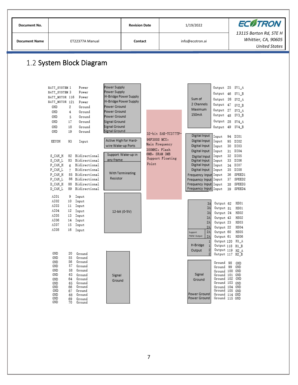<span id="page-8-0"></span>

| Document No.         |                                                                                                                                                                                                                                                                                                                                                                                                                                                                                                                                                                                                                                                                                                                                                                                                                                                                                                                                                          |                                                                    | <b>Revision Date</b>     |                                                                                                                                                                                                                                                                                                                                          | 1/19/2022                                                                                                                                                                                                                                                                                                                                                                                                                                                                                                                                                |                                        | <b>ECØTRON</b>                                                                                                                                                                                                                                                                                                                                                                                                                                                                                                                   |
|----------------------|----------------------------------------------------------------------------------------------------------------------------------------------------------------------------------------------------------------------------------------------------------------------------------------------------------------------------------------------------------------------------------------------------------------------------------------------------------------------------------------------------------------------------------------------------------------------------------------------------------------------------------------------------------------------------------------------------------------------------------------------------------------------------------------------------------------------------------------------------------------------------------------------------------------------------------------------------------|--------------------------------------------------------------------|--------------------------|------------------------------------------------------------------------------------------------------------------------------------------------------------------------------------------------------------------------------------------------------------------------------------------------------------------------------------------|----------------------------------------------------------------------------------------------------------------------------------------------------------------------------------------------------------------------------------------------------------------------------------------------------------------------------------------------------------------------------------------------------------------------------------------------------------------------------------------------------------------------------------------------------------|----------------------------------------|----------------------------------------------------------------------------------------------------------------------------------------------------------------------------------------------------------------------------------------------------------------------------------------------------------------------------------------------------------------------------------------------------------------------------------------------------------------------------------------------------------------------------------|
| <b>Document Name</b> | ET22377A Manual                                                                                                                                                                                                                                                                                                                                                                                                                                                                                                                                                                                                                                                                                                                                                                                                                                                                                                                                          |                                                                    | Contact                  |                                                                                                                                                                                                                                                                                                                                          |                                                                                                                                                                                                                                                                                                                                                                                                                                                                                                                                                          |                                        | 13115 Barton Rd, STE H<br>Whittier, CA, 90605<br><b>United States</b>                                                                                                                                                                                                                                                                                                                                                                                                                                                            |
|                      | Power<br>Power<br>Power<br>Power<br>GND<br>Ground<br>2<br>GND<br>Ground<br>4<br>GND<br>Ground<br>5<br>GND<br>17<br>Ground<br>Ground<br>GND<br>18<br>Ground<br>GND<br>19<br>KEYON<br>93<br>Input<br>82 Bidirectional<br>S_CAN_H<br>S_CAN_L<br>83 Bidirectional<br>P_CAN_H<br>6 Bidirectional<br>Bidirectional<br>P_CAN_L<br>7<br>85 Bidirectional<br>P_CAN_H<br>$P\_CAN\_L$<br>86 Bidirectional<br>88 Bidirectional<br>D_CAN_H<br>89 Bidirectional<br>D_CAN_L<br>AI01<br>Input<br>9<br>AI02<br>10<br>Input<br>AI03<br>Input<br>11<br>AI04<br>Input<br>12<br>Input<br>AI05<br>13<br>AI06<br>Input<br>14<br>AI07<br>Input<br>15<br>AI08<br>16 Input<br>GND<br>20<br>Ground<br>GND<br>55<br>Ground<br>Ground<br>56<br>GND<br>GND<br>57<br>Ground<br>GND<br>Ground<br>58<br>GND<br>63<br>Ground<br>Ground<br>GND<br>64<br>Ground<br>65<br>GND<br>Ground<br>GND<br>66<br>GND<br>67 Ground<br>GND<br>Ground<br>68<br>GND<br>69<br>Ground<br>GND<br>Ground<br>70 |                                                                    | Point                    |                                                                                                                                                                                                                                                                                                                                          | Sum of<br>2 Channels<br>Maximum<br>150mA<br>Digital Input<br>Input<br>Digital Input<br>Input<br>Digital Input<br>Input<br>Digital Input<br>Input<br>Input<br>Digital Input<br>Digital Input<br>Input<br>Digital Input<br>Input<br>Digital Input<br>Input<br>Frequency Input Input<br>Frequency Input Input<br>Frequency Input Input<br>Frequency Input Input<br>3A<br>3A<br>3A<br>3A<br>2A<br>2A<br>2A<br>Support<br>2A<br><b>NWM Output</b><br>H-Bridge<br>$\overline{2}$<br>Output<br>$\mathbf{2}$<br>Signal<br>Ground<br>Power Ground<br>Power Ground | 38                                     | 94 DI01<br>95 DI02<br>30 DI03<br>31 DI04<br>32 DI05<br>33 DI06<br>34 DI07<br>35 DI08<br>36 SPEED1<br>37 SPEED2<br>SPEED3<br>39 SPEED4<br>HS01<br>HS01<br>HS02<br>HS02<br>HS03<br>HS06<br>GND                                                                                                                                                                                                                                                                                                                                     |
|                      |                                                                                                                                                                                                                                                                                                                                                                                                                                                                                                                                                                                                                                                                                                                                                                                                                                                                                                                                                          | BATT_SYSTEM 1<br>BATT_SYSTEM 3<br>BATT_MOTOR 116<br>BATT_MOTOR 121 | 1.2 System Block Diagram | Power Supply<br>Power Supply<br>H-Bridge Power Supply<br>H-Bridge Power Supply<br>Power Ground<br>Power Ground<br>Power Ground<br>Signal Ground<br>Signal Ground<br>Signal Ground<br>Active High for Hard-<br>wire Wake-up Ports<br>Support Wake-up in<br>any frame<br>With Terminating<br>Resistor<br>12-bit (0-5V)<br>Signal<br>Ground | 96F300S MCU,<br>Main Frequency<br>300MHZ, Flash<br>6MB, SRAM 3MB<br>Support Floating                                                                                                                                                                                                                                                                                                                                                                                                                                                                     | info@ecotron.ai<br>32-bit SAK-TC377TP- | Output 25 5V1_A<br>Output 46 5V1_B<br>Output 26 5V2_A<br>Output 47 5V2_B<br>Output 27 5V3_A<br>Output 48 5V3_B<br>Output 28 5V4_A<br>Output 49 5V4_B<br>Output 62<br>Output 81<br>Output 24<br>Output 43<br>Output 23<br>Output 22 HS04<br>Output 60 HS05<br>Output 61<br>Output 120 H1_A<br>Output 118 H1_B<br>Output 119 H2 A<br>Output 117 H2_B<br>Ground 98<br>Ground 99 GND<br>Ground 100 GND<br>Ground 101 GND<br>Ground 102 GND<br>Ground 103 GND<br>Ground 104 GND<br>Ground 105 GND<br>Ground 114 GND<br>Ground 115 GND |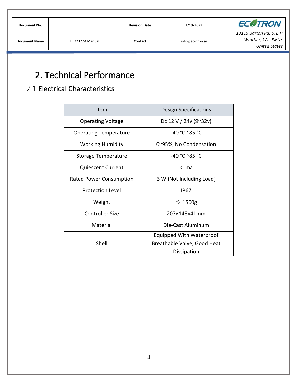| Document No.         |                 | <b>Revision Date</b> | 1/19/2022       | <b>ECOTRON</b>                                                        |
|----------------------|-----------------|----------------------|-----------------|-----------------------------------------------------------------------|
| <b>Document Name</b> | ET22377A Manual | Contact              | info@ecotron.ai | 13115 Barton Rd, STE H<br>Whittier, CA, 90605<br><b>United States</b> |

# <span id="page-9-0"></span>2. Technical Performance

# <span id="page-9-1"></span>2.1 Electrical Characteristics

| Item                         | Design Specifications                                                  |
|------------------------------|------------------------------------------------------------------------|
| <b>Operating Voltage</b>     | Dc 12 V / 24v (9~32v)                                                  |
| <b>Operating Temperature</b> | -40 °C ~85 °C                                                          |
| <b>Working Humidity</b>      | 0~95%, No Condensation                                                 |
| <b>Storage Temperature</b>   | -40 °C ~85 °C                                                          |
| <b>Quiescent Current</b>     | $<$ 1 $ma$                                                             |
| Rated Power Consumption      | 3 W (Not Including Load)                                               |
| <b>Protection Level</b>      | IP67                                                                   |
| Weight                       | $\leqslant$ 1500g                                                      |
| <b>Controller Size</b>       | 207×148×41mm                                                           |
| Material                     | Die-Cast Aluminum                                                      |
| Shell                        | Equipped With Waterproof<br>Breathable Valve, Good Heat<br>Dissipation |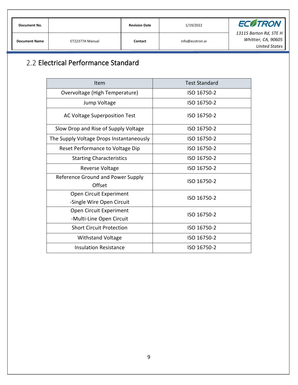| Document No.         |                 | <b>Revision Date</b> | 1/19/2022       | <b>ECOTRON</b>                                                        |
|----------------------|-----------------|----------------------|-----------------|-----------------------------------------------------------------------|
| <b>Document Name</b> | ET22377A Manual | Contact              | info@ecotron.ai | 13115 Barton Rd, STE H<br>Whittier, CA, 90605<br><b>United States</b> |

# <span id="page-10-0"></span>2.2 Electrical Performance Standard

| Item                                        | <b>Test Standard</b> |  |
|---------------------------------------------|----------------------|--|
| Overvoltage (High Temperature)              | ISO 16750-2          |  |
| Jump Voltage                                | ISO 16750-2          |  |
| AC Voltage Superposition Test               | ISO 16750-2          |  |
| Slow Drop and Rise of Supply Voltage        | ISO 16750-2          |  |
| The Supply Voltage Drops Instantaneously    | ISO 16750-2          |  |
| Reset Performance to Voltage Dip            | ISO 16750-2          |  |
| <b>Starting Characteristics</b>             | ISO 16750-2          |  |
| Reverse Voltage                             | ISO 16750-2          |  |
| Reference Ground and Power Supply<br>Offset | ISO 16750-2          |  |
| Open Circuit Experiment                     | ISO 16750-2          |  |
| -Single Wire Open Circuit                   |                      |  |
| Open Circuit Experiment                     | ISO 16750-2          |  |
| -Multi-Line Open Circuit                    |                      |  |
| <b>Short Circuit Protection</b>             | ISO 16750-2          |  |
| <b>Withstand Voltage</b>                    | ISO 16750-2          |  |
| Insulation Resistance                       | ISO 16750-2          |  |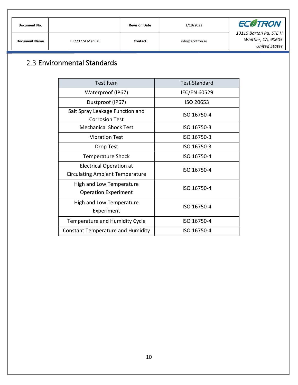| <b>Document No.</b>  |                 | <b>Revision Date</b> | 1/19/2022       | <b>ECOTRON</b>                                                        |
|----------------------|-----------------|----------------------|-----------------|-----------------------------------------------------------------------|
| <b>Document Name</b> | ET22377A Manual | Contact              | info@ecotron.ai | 13115 Barton Rd, STE H<br>Whittier, CA, 90605<br><b>United States</b> |

# <span id="page-11-0"></span>2.3 Environmental Standards

| <b>Test Item</b>                                                         | <b>Test Standard</b> |
|--------------------------------------------------------------------------|----------------------|
| Waterproof (IP67)                                                        | <b>IEC/EN 60529</b>  |
| Dustproof (IP67)                                                         | ISO 20653            |
| Salt Spray Leakage Function and<br>Corrosion Test                        | ISO 16750-4          |
| <b>Mechanical Shock Test</b>                                             | ISO 16750-3          |
| <b>Vibration Test</b>                                                    | ISO 16750-3          |
| Drop Test                                                                | ISO 16750-3          |
| <b>Temperature Shock</b>                                                 | ISO 16750-4          |
| <b>Electrical Operation at</b><br><b>Circulating Ambient Temperature</b> | ISO 16750-4          |
| High and Low Temperature<br><b>Operation Experiment</b>                  | ISO 16750-4          |
| High and Low Temperature<br>Experiment                                   | ISO 16750-4          |
| Temperature and Humidity Cycle                                           | ISO 16750-4          |
| <b>Constant Temperature and Humidity</b>                                 | ISO 16750-4          |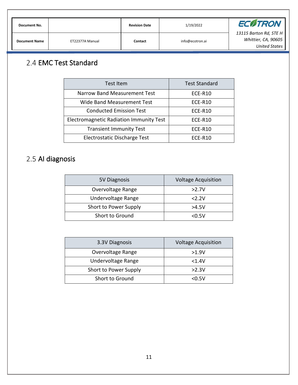| Document No.         |                 | <b>Revision Date</b> | 1/19/2022       | <b>ECOTRON</b>                                                        |
|----------------------|-----------------|----------------------|-----------------|-----------------------------------------------------------------------|
| <b>Document Name</b> | ET22377A Manual | Contact              | info@ecotron.ai | 13115 Barton Rd, STE H<br>Whittier, CA, 90605<br><b>United States</b> |

# <span id="page-12-0"></span>2.4 EMC Test Standard

| Test Item                                      | <b>Test Standard</b> |
|------------------------------------------------|----------------------|
| Narrow Band Measurement Test                   | ECE-R10              |
| Wide Band Measurement Test                     | <b>ECE-R10</b>       |
| <b>Conducted Emission Test</b>                 | ECE-R10              |
| <b>Electromagnetic Radiation Immunity Test</b> | ECE-R10              |
| <b>Transient Immunity Test</b>                 | ECE-R10              |
| Electrostatic Discharge Test                   | ECE-R10              |

# <span id="page-12-1"></span>2.5 Al diagnosis

| 5V Diagnosis          | <b>Voltage Acquisition</b> |  |  |  |  |  |
|-----------------------|----------------------------|--|--|--|--|--|
| Overvoltage Range     | >2.7V                      |  |  |  |  |  |
| Undervoltage Range    | 2.2V                       |  |  |  |  |  |
| Short to Power Supply | >4.5V                      |  |  |  |  |  |
| Short to Ground       | $<$ 0.5V                   |  |  |  |  |  |

| 3.3V Diagnosis        | <b>Voltage Acquisition</b> |
|-----------------------|----------------------------|
| Overvoltage Range     | >1.9V                      |
| Undervoltage Range    | $<$ 1.4V                   |
| Short to Power Supply | >2.3V                      |
| Short to Ground       | $<$ 0.5V                   |
|                       |                            |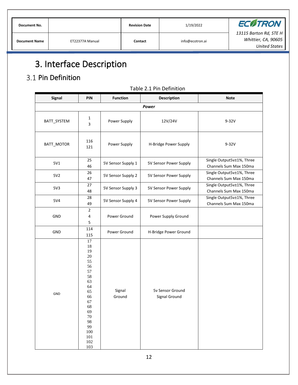| Document No.         |                 | <b>Revision Date</b> | 1/19/2022       | <b>ECOTRON</b>                                                 |
|----------------------|-----------------|----------------------|-----------------|----------------------------------------------------------------|
| <b>Document Name</b> | ET22377A Manual | Contact              | info@ecotron.ai | 13115 Barton Rd, STE H<br>Whittier, CA, 90605<br>United States |

# <span id="page-13-0"></span>3. Interface Description

# <span id="page-13-1"></span>3.1 Pin Definition

| <b>Signal</b>                    | PIN                                                                                                                                          | <b>Function</b>    | <b>Description</b>                | <b>Note</b>                                         |  |  |
|----------------------------------|----------------------------------------------------------------------------------------------------------------------------------------------|--------------------|-----------------------------------|-----------------------------------------------------|--|--|
|                                  |                                                                                                                                              |                    | Power                             |                                                     |  |  |
| $\mathbf{1}$<br>BATT_SYSTEM<br>3 |                                                                                                                                              | Power Supply       | 12V/24V                           | $9-32V$                                             |  |  |
| BATT_MOTOR                       | 116<br>121                                                                                                                                   | Power Supply       | H-Bridge Power Supply             | $9 - 32V$                                           |  |  |
| 5V1                              | 25<br>46                                                                                                                                     | 5V Sensor Supply 1 | 5V Sensor Power Supply            | Single Output5v±1%, Three<br>Channels Sum Max 150ma |  |  |
| 5V2                              | 26<br>47                                                                                                                                     | 5V Sensor Supply 2 | 5V Sensor Power Supply            | Single Output5v±1%, Three<br>Channels Sum Max 150ma |  |  |
| 5V3                              | 27<br>48                                                                                                                                     | 5V Sensor Supply 3 | 5V Sensor Power Supply            | Single Output5v±1%, Three<br>Channels Sum Max 150ma |  |  |
| 5V4                              | 28<br>49                                                                                                                                     | 5V Sensor Supply 4 | 5V Sensor Power Supply            | Single Output5v±1%, Three<br>Channels Sum Max 150ma |  |  |
| GND                              | $\overline{2}$<br>$\overline{4}$<br>5                                                                                                        | Power Ground       | Power Supply Ground               |                                                     |  |  |
| GND                              | 114<br>Power Ground<br>115                                                                                                                   |                    | H-Bridge Power Ground             |                                                     |  |  |
| GND                              | 17<br>18<br>19<br>$20\,$<br>55<br>56<br>57<br>58<br>63<br>64<br>65<br>66<br>67<br>68<br>69<br>70<br>98<br>99<br>100<br>101<br>$102\,$<br>103 | Signal<br>Ground   | 5v Sensor Ground<br>Signal Ground |                                                     |  |  |

#### Table 2.1 Pin Definition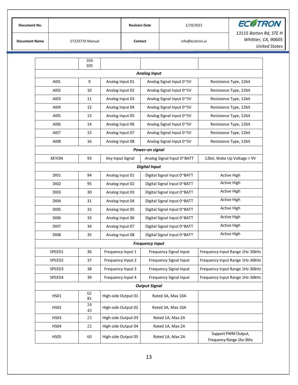| Document No.         |                 | <b>Revision Date</b> | 1/19/2022       | <b>ECOTRON</b>                                |
|----------------------|-----------------|----------------------|-----------------|-----------------------------------------------|
| <b>Document Name</b> | ET22377A Manual | Contact              | info@ecotron.ai | 13115 Barton Rd, STE H<br>Whittier, CA, 90605 |
|                      |                 |                      |                 | United States                                 |

|                      | 104<br>105   |                     |                             |                                                 |  |  |  |  |  |  |  |
|----------------------|--------------|---------------------|-----------------------------|-------------------------------------------------|--|--|--|--|--|--|--|
| <b>Analog Input</b>  |              |                     |                             |                                                 |  |  |  |  |  |  |  |
| AI01                 | 9            | Analog Input 01     | Analog Signal Input 0~5V    | Resistance Type, 12bit                          |  |  |  |  |  |  |  |
| AI02                 | 10           | Analog Input 02     | Analog Signal Input 0~5V    | Resistance Type, 12bit                          |  |  |  |  |  |  |  |
| AI03                 | 11           | Analog Input 03     | Analog Signal Input 0~5V    | Resistance Type, 12bit                          |  |  |  |  |  |  |  |
| AI04                 | 12           | Analog Input 04     | Analog Signal Input 0~5V    | Resistance Type, 12bit                          |  |  |  |  |  |  |  |
| AI05                 | 13           | Analog Input 05     | Analog Signal Input 0~5V    | Resistance Type, 12bit                          |  |  |  |  |  |  |  |
| AI06                 | 14           | Analog Input 06     | Analog Signal Input 0~5V    | Resistance Type, 12bit                          |  |  |  |  |  |  |  |
| AI07                 | 15           | Analog Input 07     | Analog Signal Input 0~5V    | Resistance Type, 12bit                          |  |  |  |  |  |  |  |
| AI08                 | 16           | Analog Input 08     | Analog Signal Input 0~5V    | Resistance Type, 12bit                          |  |  |  |  |  |  |  |
| Power-on signal      |              |                     |                             |                                                 |  |  |  |  |  |  |  |
| <b>KEYON</b>         | 93           | Key Input Signal    | Analog Signal Input 0~BATT  | 12bit, Wake Up Voltage > 9V                     |  |  |  |  |  |  |  |
| <b>Digital Input</b> |              |                     |                             |                                                 |  |  |  |  |  |  |  |
| DI01                 | 94           | Analog Input 01     | Digital Signal Input 0~BATT | <b>Active High</b>                              |  |  |  |  |  |  |  |
| DI02                 | 95           | Analog Input 02     | Digital Signal Input 0~BATT | <b>Active High</b>                              |  |  |  |  |  |  |  |
| DI03                 | 30           | Analog Input 03     | Digital Signal Input 0~BATT | <b>Active High</b>                              |  |  |  |  |  |  |  |
| DI04                 | 31           | Analog Input 04     | Digital Signal Input 0~BATT | <b>Active High</b>                              |  |  |  |  |  |  |  |
| <b>DI05</b>          | 32           | Analog Input 05     | Digital Signal Input 0~BATT | <b>Active High</b>                              |  |  |  |  |  |  |  |
| DI06                 | 33           | Analog Input 06     | Digital Signal Input 0~BATT | <b>Active High</b>                              |  |  |  |  |  |  |  |
| <b>DI07</b>          | 34           | Analog Input 07     | Digital Signal Input 0~BATT | <b>Active High</b>                              |  |  |  |  |  |  |  |
| DI08                 | 35           | Analog Input 08     | Digital Signal Input 0~BATT | <b>Active High</b>                              |  |  |  |  |  |  |  |
|                      |              |                     | <b>Frequency Input</b>      |                                                 |  |  |  |  |  |  |  |
| SPEED1               | 36           | Frequency Input 1   | Frequency Signal Input      | Frequency Input Range 1Hz-30kHz                 |  |  |  |  |  |  |  |
| SPEED2               | 37           | Frequency Input 2   | Frequency Signal Input      | Frequency Input Range 1Hz-30kHz                 |  |  |  |  |  |  |  |
| SPEED3               | 38           | Frequency Input 3   | Frequency Signal Input      | Frequency Input Range 1Hz-30kHz                 |  |  |  |  |  |  |  |
| SPEED4               | 39           | Frequency Input 4   | Frequency Signal Input      | Frequency Input Range 1Hz-30kHz                 |  |  |  |  |  |  |  |
|                      |              |                     | <b>Output Signal</b>        |                                                 |  |  |  |  |  |  |  |
| <b>HS01</b>          | 62<br>81     | High-side Output 01 | Rated 3A, Max 10A           |                                                 |  |  |  |  |  |  |  |
| <b>HS02</b>          | $24\,$<br>43 | High-side Output 02 | Rated 3A, Max 10A           |                                                 |  |  |  |  |  |  |  |
| <b>HS03</b>          | 23           | High-side Output 03 | Rated 1A, Max 2A            |                                                 |  |  |  |  |  |  |  |
| <b>HS04</b>          | 22           | High-side Output 04 | Rated 1A, Max 2A            |                                                 |  |  |  |  |  |  |  |
| <b>HS05</b>          | 60           | High-side Output 05 | Rated 1A, Max 2A            | Support PWM Output,<br>Frequency Range 1hz-2khz |  |  |  |  |  |  |  |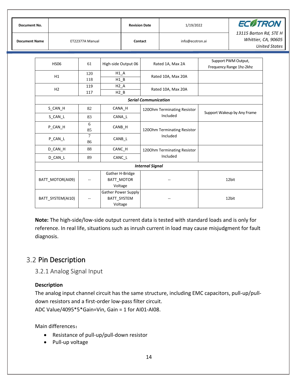| <b>Document No.</b>  |                   |                          |                                               | <b>Revision Date</b> |                             | 1/19/2022                   | <b>ECOTRON</b>                                  |                                                                       |  |
|----------------------|-------------------|--------------------------|-----------------------------------------------|----------------------|-----------------------------|-----------------------------|-------------------------------------------------|-----------------------------------------------------------------------|--|
| <b>Document Name</b> |                   | ET22377A Manual          |                                               |                      | Contact                     | info@ecotron.ai             |                                                 | 13115 Barton Rd, STE H<br>Whittier, CA, 90605<br><b>United States</b> |  |
|                      | <b>HS06</b>       | 61                       | High-side Output 06                           |                      |                             | Rated 1A, Max 2A            | Support PWM Output,<br>Frequency Range 1hz-2khz |                                                                       |  |
|                      | H1                | 120<br>118               | $H1_A$<br>$H1_B$                              |                      |                             | Rated 10A, Max 20A          |                                                 |                                                                       |  |
|                      | H <sub>2</sub>    | 119<br>117               | $H2_B$                                        | $H2_A$               |                             | Rated 10A, Max 20A          |                                                 |                                                                       |  |
|                      |                   |                          |                                               |                      | <b>Serial Communication</b> |                             |                                                 |                                                                       |  |
|                      | S_CAN_H           | 82                       | CANA_H                                        |                      |                             | 1200hm Terminating Resistor |                                                 |                                                                       |  |
|                      | S_CAN_L           | 83                       | CANA_L                                        |                      |                             | Included                    |                                                 | Support Wakeup by Any Frame                                           |  |
|                      | P_CAN_H           | 6<br>85                  | CANB_H                                        |                      |                             | 1200hm Terminating Resistor |                                                 |                                                                       |  |
|                      | P_CAN_L           | $\overline{7}$<br>86     | CANB_L                                        |                      |                             | Included                    |                                                 |                                                                       |  |
|                      | D_CAN_H           | 88                       | CANC_H                                        |                      |                             | 1200hm Terminating Resistor |                                                 |                                                                       |  |
|                      | D_CAN_L           | 89                       | CANC L                                        |                      |                             | Included                    |                                                 |                                                                       |  |
|                      |                   |                          |                                               |                      | <b>Internal Signal</b>      |                             |                                                 |                                                                       |  |
|                      | BATT MOTOR(AI09)  | $\overline{\phantom{a}}$ | Gather H-Bridge<br>BATT_MOTOR<br>Voltage      |                      |                             |                             | 12bit                                           |                                                                       |  |
|                      | BATT SYSTEM(AI10) |                          | Gather Power Supply<br>BATT_SYSTEM<br>Voltage |                      |                             |                             |                                                 | 12bit                                                                 |  |

**Note:** The high-side/low-side output current data is tested with standard loads and is only for reference. In real life, situations such as inrush current in load may cause misjudgment for fault diagnosis.

### <span id="page-15-0"></span>3.2 Pin Description

<span id="page-15-1"></span>3.2.1 Analog Signal Input

#### **Description**

The analog input channel circuit has the same structure, including EMC capacitors, pull-up/pulldown resistors and a first-order low-pass filter circuit. ADC Value/4095\*5\*Gain=Vin, Gain = 1 for AI01-AI08.

Main differences:

- Resistance of pull-up/pull-down resistor
- Pull-up voltage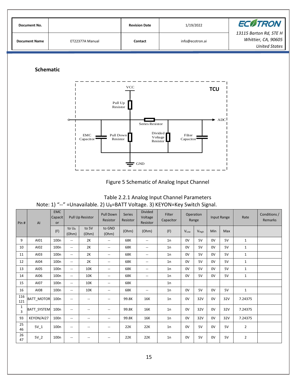

| Table 2.2.1 Analog Input Channel Parameters                                      |
|----------------------------------------------------------------------------------|
| Note: 1) "--" = Unavailable. 2) $U_B$ =BATT Voltage. 3) KEYON=Key Switch Signal. |

| Pin#                           | AI                | <b>EMC</b><br>Capacit<br>or | Pull Up Resistor           |                          | Pull Down<br>Resistor    | <b>Divided</b><br><b>Series</b><br>Voltage<br>Resistor<br>Resistor |                          | Filter<br>Capacitor |      | Operation<br>Range |     | Input Range | Rate           | Conditions /<br><b>Remarks</b> |
|--------------------------------|-------------------|-----------------------------|----------------------------|--------------------------|--------------------------|--------------------------------------------------------------------|--------------------------|---------------------|------|--------------------|-----|-------------|----------------|--------------------------------|
|                                |                   | (F)                         | to U <sub>B</sub><br>(Ohm) | to 5V<br>(Ohm)           | to GND<br>(Ohm)          | (Ohm)                                                              | (Ohm)                    | (F)                 | VLow | V <sub>High</sub>  | Min | Max         |                |                                |
| 9                              | AI01              | 100 <sub>n</sub>            | $\overline{\phantom{a}}$   | 2K                       | $\overline{\phantom{a}}$ | 68K                                                                | $\overline{\phantom{a}}$ | 1n                  | 0V   | 5V                 | 0V  | 5V          | $\mathbf{1}$   |                                |
| 10                             | AI02              | 100 <sub>n</sub>            | $\overline{\phantom{a}}$   | 2K                       | $\overline{\phantom{a}}$ | 68K                                                                | $\overline{\phantom{a}}$ | 1n                  | 0V   | 5V                 | 0V  | 5V          | $\mathbf{1}$   |                                |
| 11                             | AI03              | 100 <sub>n</sub>            | $\overline{\phantom{a}}$   | 2K                       | $\overline{\phantom{a}}$ | 68K                                                                | $\overline{\phantom{a}}$ | 1n                  | 0V   | 5V                 | 0V  | 5V          | $\mathbf{1}$   |                                |
| 12                             | AI04              | 100 <sub>n</sub>            | $\overline{\phantom{a}}$   | 2K                       | --                       | 68K                                                                | $\overline{\phantom{a}}$ | 1n                  | 0V   | 5V                 | 0V  | 5V          | $\mathbf{1}$   |                                |
| 13                             | AI05              | 100 <sub>n</sub>            | $\overline{\phantom{a}}$   | <b>10K</b>               | $- -$                    | 68K                                                                | $\overline{\phantom{a}}$ | 1n                  | 0V   | 5V                 | 0V  | 5V          | $\mathbf{1}$   |                                |
| 14                             | AI06              | 100n                        | $\overline{\phantom{a}}$   | 10K                      | --                       | 68K                                                                | $\overline{\phantom{a}}$ | 1n                  | 0V   | 5V                 | 0V  | 5V          | $\mathbf 1$    |                                |
| 15                             | AI07              | 100 <sub>n</sub>            | $\overline{\phantom{a}}$   | 10K                      | --                       | 68K                                                                |                          | 1n                  |      |                    |     |             |                |                                |
| 16                             | AI08              | 100 <sub>n</sub>            | $\overline{\phantom{a}}$   | 10K                      | --                       | 68K                                                                | --                       | 1n                  | 0V   | 5V                 | 0V  | 5V          | $\mathbf{1}$   |                                |
| 116<br>121                     | <b>BATT MOTOR</b> | 100 <sub>n</sub>            | $\overline{\phantom{a}}$   | $\overline{\phantom{m}}$ | --                       | 99.8K                                                              | 16K                      | 1n                  | 0V   | 32V                | 0V  | 32V         | 7.24375        |                                |
| $\mathbf{1}$<br>$\overline{3}$ | BATT_SYSTEM       | 100 <sub>n</sub>            | $\overline{\phantom{a}}$   | $\overline{\phantom{m}}$ | --                       | 99.8K                                                              | 16K                      | 1n                  | 0V   | 32V                | 0V  | 32V         | 7.24375        |                                |
| 93                             | KEYON/AI27        | 100 <sub>n</sub>            | $\overline{\phantom{a}}$   | $\overline{\phantom{a}}$ | $\overline{\phantom{a}}$ | 99.8K                                                              | 16K                      | 1n                  | 0V   | 32V                | 0V  | 32V         | 7.24375        |                                |
| 25<br>46                       | $5V_1$            | 100 <sub>n</sub>            | $\overline{\phantom{a}}$   | $\overline{\phantom{m}}$ | $\overline{\phantom{a}}$ | 22K                                                                | 22K                      | 1n                  | 0V   | 5V                 | 0V  | 5V          | $\overline{2}$ |                                |
| 26<br>47                       | $5V_2$            | 100 <sub>n</sub>            | $\overline{\phantom{a}}$   | $\overline{\phantom{m}}$ | --                       | 22K                                                                | 22K                      | 1n                  | 0V   | 5V                 | 0V  | 5V          | 2              |                                |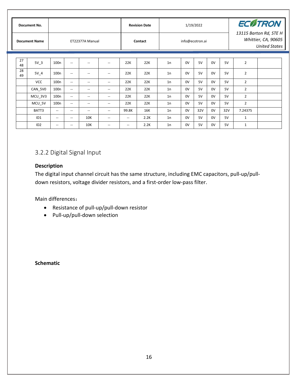|  | Document No.<br><b>Document Name</b> |                 | ET22377A Manual          |                          |                                                     |                                       |                          | <b>Revision Date</b> |    |                 | 1/19/2022 |    |     | <b>ECØTRON</b><br>13115 Barton Rd, STE H<br>Whittier, CA, 90605 |  |  |
|--|--------------------------------------|-----------------|--------------------------|--------------------------|-----------------------------------------------------|---------------------------------------|--------------------------|----------------------|----|-----------------|-----------|----|-----|-----------------------------------------------------------------|--|--|
|  |                                      |                 |                          |                          |                                                     |                                       |                          | Contact              |    | info@ecotron.ai |           |    |     | <b>United States</b>                                            |  |  |
|  |                                      |                 |                          |                          |                                                     |                                       |                          |                      |    |                 |           |    |     |                                                                 |  |  |
|  | 27<br>48                             | 5V <sub>3</sub> | 100 <sub>n</sub>         | $\overline{\phantom{a}}$ | --                                                  | --                                    | 22K                      | 22K                  | 1n | 0V              | 5V        | 0V | 5V  | $\overline{2}$                                                  |  |  |
|  | 28<br>49                             | 5V 4            | 100 <sub>n</sub>         | $\overline{\phantom{a}}$ | $\hspace{0.05cm} -\hspace{0.05cm} -\hspace{0.05cm}$ | $\overline{\phantom{a}}$              | 22K                      | 22K                  | 1n | 0V              | 5V        | 0V | 5V  | $\overline{2}$                                                  |  |  |
|  |                                      | <b>VCC</b>      | 100 <sub>n</sub>         | $\overline{\phantom{a}}$ | $\overline{\phantom{a}}$                            | $- -$                                 | 22K                      | 22K                  | 1n | 0V              | 5V        | 0V | 5V  | $\overline{2}$                                                  |  |  |
|  |                                      | CAN 5V0         | 100 <sub>n</sub>         | $\overline{\phantom{a}}$ | --                                                  | $- -$                                 | 22K                      | 22K                  | 1n | 0V              | 5V        | 0V | 5V  | $\overline{2}$                                                  |  |  |
|  |                                      | MCU_3V3         | 100 <sub>n</sub>         | $\overline{\phantom{a}}$ | --                                                  | $- -$                                 | 22K                      | 22K                  | 1n | 0V              | 5V        | 0V | 5V  | $\overline{2}$                                                  |  |  |
|  |                                      | MCU 5V          | 100 <sub>n</sub>         | $\overline{\phantom{a}}$ | --                                                  | $\hspace{0.05cm}$ – $\hspace{0.05cm}$ | 22K                      | 22K                  | 1n | 0V              | 5V        | 0V | 5V  | $\overline{2}$                                                  |  |  |
|  |                                      | BATT3           | $--$                     | $\overline{\phantom{a}}$ | $\hspace{0.05cm} -\hspace{0.05cm} -\hspace{0.05cm}$ | $- -$                                 | 99.8K                    | 16K                  | 1n | 0V              | 32V       | 0V | 32V | 7.24375                                                         |  |  |
|  |                                      | ID <sub>1</sub> | $\overline{\phantom{a}}$ | $\overline{\phantom{a}}$ | 10K                                                 | $- -$                                 | $\hspace{0.05cm} \ldots$ | 2.2K                 | 1n | 0V              | 5V        | 0V | 5V  | $\mathbf{1}$                                                    |  |  |
|  |                                      | ID <sub>2</sub> | $\hspace{0.05cm} \ldots$ | $\overline{\phantom{a}}$ | 10K                                                 | $- -$                                 | --                       | 2.2K                 | 1n | 0V              | 5V        | 0V | 5V  | $\mathbf{1}$                                                    |  |  |

#### <span id="page-17-0"></span>3.2.2 Digital Signal Input

#### **Description**

The digital input channel circuit has the same structure, including EMC capacitors, pull-up/pulldown resistors, voltage divider resistors, and a first-order low-pass filter.

Main differences:

- Resistance of pull-up/pull-down resistor
- Pull-up/pull-down selection

**Schematic**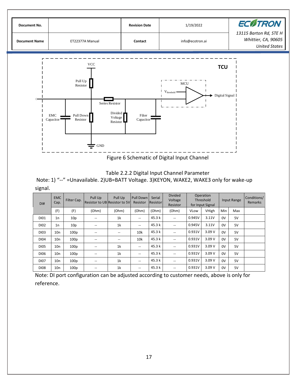

Table 2.2.2 Digital Input Channel Parameter

Note: 1) "--" =Unavailable. 2)UB=BATT Voltage. 3)KEYON, WAKE2, WAKE3 only for wake-up signal.

| DI#              | <b>EMC</b><br>Cap. | Filter Cap.      | Pull Up<br><b>Resistor to UB Resistor to 5VL</b> | Pull Up        | Pull Down<br>Resistor                 | Serial<br>Resistor | <b>Divided</b><br>Voltage<br>Resistor |        | Operation<br>Threshold<br>for Input Signal |            | Input Range | Conditions/<br><b>Remarks</b> |
|------------------|--------------------|------------------|--------------------------------------------------|----------------|---------------------------------------|--------------------|---------------------------------------|--------|--------------------------------------------|------------|-------------|-------------------------------|
|                  | (F)                | (F)              | (Ohm)                                            | (Ohm)          | (Ohm)                                 | (Ohm)              | (Ohm)                                 | VLow   | VHigh                                      | <b>Min</b> | Max         |                               |
| <b>DI01</b>      | 1n                 | 10 <sub>p</sub>  | $- -$                                            | 1k             | --                                    | 45.3k              | $- -$                                 | 0.945V | 3.11V                                      | 0V         | 5V          |                               |
| D <sub>102</sub> | 1n                 | 10 <sub>p</sub>  | $\hspace{0.05cm}$ – $\hspace{0.05cm}$            | 1 <sup>k</sup> | $\overline{\phantom{a}}$              | 45.3k              | $\overline{\phantom{a}}$              | 0.945V | 3.11V                                      | 0V         | 5V          |                               |
| DI03             | 10n                | 100 <sub>p</sub> | --                                               |                | 10k                                   | 45.3k              |                                       | 0.931V | 3.09V                                      | 0V         | 5V          |                               |
| D <sub>104</sub> | 10n                | 100 <sub>p</sub> | --                                               | --             | 10k                                   | 45.3k              | --                                    | 0.931V | 3.09V                                      | 0V         | 5V          |                               |
| <b>DI05</b>      | 10n                | 100 <sub>p</sub> | $\overline{\phantom{m}}$                         | 1k             | --                                    | 45.3k              | $\overline{\phantom{a}}$              | 0.931V | 3.09V                                      | 0V         | 5V          |                               |
| DI06             | 10n                | 100 <sub>p</sub> | $\hspace{0.05cm}$ – $\hspace{0.05cm}$            | 1k             | $\hspace{0.05cm}$ – $\hspace{0.05cm}$ | 45.3k              | --                                    | 0.931V | 3.09V                                      | 0V         | 5V          |                               |
| <b>DI07</b>      | 10n                | 100 <sub>p</sub> | --                                               | 1 <sup>k</sup> | --                                    | 45.3k              | --                                    | 0.931V | 3.09V                                      | 0V         | 5V          |                               |
| <b>DI08</b>      | 10n                | 100 <sub>p</sub> | --                                               | 1k             | $\hspace{0.05cm}$ – $\hspace{0.05cm}$ | 45.3 k             | $\overline{\phantom{a}}$              | 0.931V | 3.09V                                      | 0V         | 5V          |                               |

Note: DI port configuration can be adjusted according to customer needs, above is only for reference.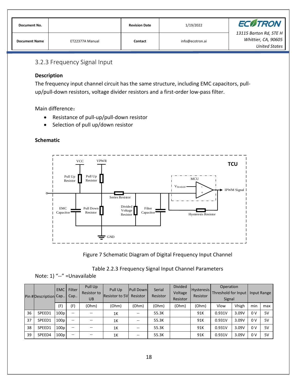| Document No.         |                 | <b>Revision Date</b> | 1/19/2022       | <b>ECOTRON</b>                                                 |
|----------------------|-----------------|----------------------|-----------------|----------------------------------------------------------------|
| <b>Document Name</b> | ET22377A Manual | Contact              | info@ecotron.ai | 13115 Barton Rd, STE H<br>Whittier, CA, 90605<br>United States |

#### <span id="page-19-0"></span>3.2.3 Frequency Signal Input

#### **Description**

The frequency input channel circuit has the same structure, including EMC capacitors, pullup/pull-down resistors, voltage divider resistors and a first-order low-pass filter.

Main difference:

- Resistance of pull-up/pull-down resistor
- Selection of pull up/down resistor

#### **Schematic**



Figure 7 Schematic Diagram of Digital Frequency Input Channel

|  | Table 2.2.3 Frequency Signal Input Channel Parameters |
|--|-------------------------------------------------------|
|--|-------------------------------------------------------|

#### Note: 1) "--" =Unavailable

|    | Pin #Description Cap | <b>EMC</b>       | <b>Filter</b><br>Cap     | Pull Up<br>Resistor to<br><b>UB</b> | Pull Up<br><b>Resistor to 5V</b> | <b>Pull Down</b><br>Resistor | Serial<br>Resistor | <b>Divided</b><br>Voltage<br>Resistor | <b>Hysteresis</b><br>Resistor | Operation<br>Threshold for Input<br>Signal |       |                | Input Range |
|----|----------------------|------------------|--------------------------|-------------------------------------|----------------------------------|------------------------------|--------------------|---------------------------------------|-------------------------------|--------------------------------------------|-------|----------------|-------------|
|    |                      | (F)              | (F)                      | (Ohm)                               | (Ohm)                            | (Ohm)                        | (Ohm)              | (Ohm)                                 | (Ohm)                         | Vlow                                       | Vhigh | min            | max         |
| 36 | SPEED1               | 100 <sub>D</sub> | $-$                      |                                     | 1K                               | --                           | 55.3K              |                                       | 91K                           | 0.931V                                     | 3.09V | 0 <sup>V</sup> | 5V          |
| 37 | SPEED1               | 100 <sub>D</sub> | $-$                      | --                                  | 1K                               |                              | 55.3K              |                                       | 91K                           | 0.931V                                     | 3.09V | 0 <sup>V</sup> | 5V          |
| 38 | SPEED1               | 100 <sub>p</sub> | $\overline{\phantom{a}}$ | --                                  | 1K                               |                              | 55.3K              |                                       | 91K                           | 0.931V                                     | 3.09V | 0 <sup>V</sup> | 5V          |
| 39 | SPEED4               | 100 <sub>D</sub> | $\overline{\phantom{a}}$ | --                                  | 1K                               | --                           | 55.3K              |                                       | 91K                           | 0.931V                                     | 3.09V | 0 <sup>V</sup> | 5V          |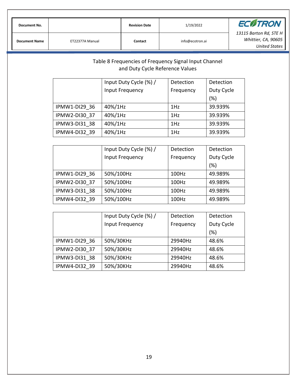|  | Document No.         |                 | <b>Revision Date</b> | 1/19/2022       | <b>ECOTRON</b>         |
|--|----------------------|-----------------|----------------------|-----------------|------------------------|
|  |                      |                 |                      |                 | 13115 Barton Rd, STE H |
|  | <b>Document Name</b> | ET22377A Manual | Contact              | info@ecotron.ai | Whittier, CA, 90605    |
|  |                      |                 |                      |                 | United States          |

#### Table 8 Frequencies of Frequency Signal Input Channel and Duty Cycle Reference Values Input Duty Cycle (%) / Input Frequency Detection Frequency Detection Duty Cycle (%)

 $IPMW1-D129$  36  $\vert$  40%/1Hz  $\vert$  1Hz  $\vert$  39.939% IPMW2-DI30\_37 40%/1Hz 1Hz 39.939% IPMW3-DI31\_38 40%/1Hz 1Hz 39.939%

| IPMW4-DI32 39 | 40%/1Hz                | 1Hz       | 39.939%    |  |
|---------------|------------------------|-----------|------------|--|
|               |                        |           |            |  |
|               | Input Duty Cycle (%) / | Detection | Detection  |  |
|               | Input Frequency        | Frequency | Duty Cycle |  |
|               |                        |           | (%)        |  |
| IPMW1-DI29 36 | 50%/100Hz              | 100Hz     | 49.989%    |  |
| IPMW2-DI30 37 | 50%/100Hz              | 100Hz     | 49.989%    |  |
| IPMW3-DI31 38 | 50%/100Hz              | 100Hz     | 49.989%    |  |
| IPMW4-DI32 39 | 50%/100Hz              | 100Hz     | 49.989%    |  |

|               | Input Duty Cycle (%) / | Detection | Detection  |
|---------------|------------------------|-----------|------------|
|               | Input Frequency        | Frequency | Duty Cycle |
|               |                        |           | (%)        |
| IPMW1-DI29 36 | 50%/30KHz              | 29940Hz   | 48.6%      |
| IPMW2-DI30 37 | 50%/30KHz              | 29940Hz   | 48.6%      |
| IPMW3-DI31 38 | 50%/30KHz              | 29940Hz   | 48.6%      |
| IPMW4-DI32 39 | 50%/30KHz              | 29940Hz   | 48.6%      |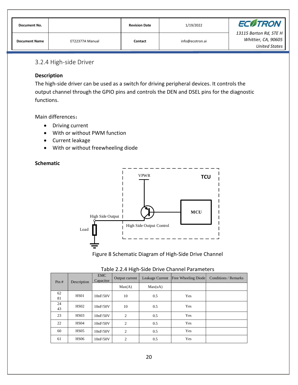| Document No.         |                 | <b>Revision Date</b> | 1/19/2022       | <b>ECØTRON</b>         |
|----------------------|-----------------|----------------------|-----------------|------------------------|
| <b>Document Name</b> | ET22377A Manual | Contact              |                 | 13115 Barton Rd, STE H |
|                      |                 |                      | info@ecotron.ai | Whittier, CA, 90605    |
|                      |                 |                      |                 | <b>United States</b>   |

#### <span id="page-21-0"></span>3.2.4 High-side Driver

#### **Description**

The high-side driver can be used as a switch for driving peripheral devices. It controls the output channel through the GPIO pins and controls the DEN and DSEL pins for the diagnostic functions.

Main differences:

- Driving current
- With or without PWM function
- Current leakage
- With or without freewheeling diode

#### **Schematic**



Figure 8 Schematic Diagram of High-Side Drive Channel

| Pin#     | Description      | <b>EMC</b><br>Capacitor | Output current | Leakage Current | <b>Free Wheeling Diode</b> | <b>Conditions / Remarks</b> |
|----------|------------------|-------------------------|----------------|-----------------|----------------------------|-----------------------------|
|          |                  |                         | Max(A)         | Max(uA)         |                            |                             |
| 62<br>81 | <b>HS01</b>      | 10nF/50V                | 10             | 0.5             | Yes                        |                             |
| 24<br>43 | <b>HS02</b>      | 10nF/50V                | 10             | 0.5             | Yes                        |                             |
| 23       | HS <sub>03</sub> | 10nF/50V                | $\overline{2}$ | 0.5             | Yes                        |                             |
| 22       | <b>HS04</b>      | 10nF/50V                | $\overline{2}$ | 0.5             | Yes                        |                             |
| 60       | <b>HS05</b>      | 10nF/50V                | $\overline{2}$ | 0.5             | Yes                        |                             |
| 61       | <b>HS06</b>      | 10nF/50V                | $\overline{2}$ | 0.5             | Yes                        |                             |

#### Table 2.2.4 High-Side Drive Channel Parameters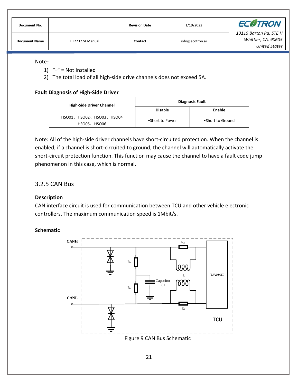| Document No.         |                 | <b>Revision Date</b> | 1/19/2022       | <b>ECOTRON</b>                                                        |
|----------------------|-----------------|----------------------|-----------------|-----------------------------------------------------------------------|
| <b>Document Name</b> | ET22377A Manual | Contact              | info@ecotron.ai | 13115 Barton Rd, STE H<br>Whittier, CA, 90605<br><b>United States</b> |

#### Note:

- 1)  $''-$  = Not Installed
- 2) The total load of all high-side drive channels does not exceed 5A.

#### **Fault Diagnosis of High-Side Driver**

| <b>High-Side Driver Channel</b> | <b>Diagnosis Fault</b> |                  |  |  |
|---------------------------------|------------------------|------------------|--|--|
|                                 | <b>Disable</b>         | Enable           |  |  |
| HSO01、HSO02、HSO03、HSO04         | •Short to Power        | •Short to Ground |  |  |
| HSO05、HSO06                     |                        |                  |  |  |

Note: All of the high-side driver channels have short-circuited protection. When the channel is enabled, if a channel is short-circuited to ground, the channel will automatically activate the short-circuit protection function. This function may cause the channel to have a fault code jump phenomenon in this case, which is normal.

#### <span id="page-22-0"></span>3.2.5 CAN Bus

#### **Description**

CAN interface circuit is used for communication between TCU and other vehicle electronic controllers. The maximum communication speed is 1Mbit/s.

#### **Schematic**

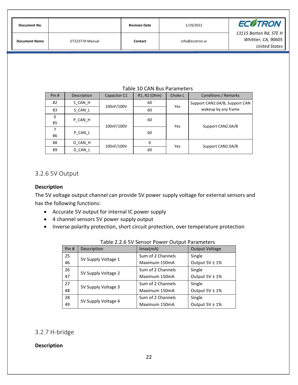| Document No.         |                 | <b>Revision Date</b> | 1/19/2022       | <b>ECOTRON</b>                                                        |
|----------------------|-----------------|----------------------|-----------------|-----------------------------------------------------------------------|
| <b>Document Name</b> | ET22377A Manual | Contact              | info@ecotron.ai | 13115 Barton Rd, STE H<br>Whittier, CA, 90605<br><b>United States</b> |

#### Table 10 CAN Bus Parameters

| Pin# | Description | Capacitor C1 | R <sub>1</sub> , R <sub>2</sub> (Ohm) | Choke L | <b>Conditions / Remarks</b>    |  |
|------|-------------|--------------|---------------------------------------|---------|--------------------------------|--|
| 82   | S CAN H     | 100nF/100V   | 60                                    | Yes     | Support CAN2.0A/B, Support CAN |  |
| 83   | S_CAN_L     |              | 60                                    |         | wakeup by any frame            |  |
| 6    | P CAN H     |              | 60                                    |         |                                |  |
| 85   |             | 100nF/100V   |                                       | Yes     | Support CAN2.0A/B              |  |
| 7    | P CAN L     |              | 60                                    |         |                                |  |
| 86   |             |              |                                       |         |                                |  |
| 88   | D CAN H     | 100nF/100V   | 0                                     | Yes     | Support CAN2.0A/B              |  |
| 89   | D CAN L     |              | 60                                    |         |                                |  |

#### <span id="page-23-0"></span>3.2.6 5V Output

#### **Description**

The 5V voltage output channel can provide 5V power supply voltage for external sensors and has the following functions:

- Accurate 5V output for internal IC power supply
- 4 channel sensors 5V power supply output
- Inverse polarity protection, short circuit protection, over temperature protection

|      | Table 2.2.0 JV Jehoor Fower Output Farameters |                   |                       |  |  |  |  |
|------|-----------------------------------------------|-------------------|-----------------------|--|--|--|--|
| Pin# | Description                                   | Imax(mA)          | <b>Output Voltage</b> |  |  |  |  |
| 25   | 5V Supply Voltage 1                           | Sum of 2 Channels | Single                |  |  |  |  |
| 46   |                                               | Maximum 150mA     | Output $5V \pm 1\%$   |  |  |  |  |
| 26   | 5V Supply Voltage 2                           | Sum of 2 Channels | Single                |  |  |  |  |
| 47   |                                               | Maximum 150mA     | Output $5V \pm 1\%$   |  |  |  |  |
| 27   | 5V Supply Voltage 3                           | Sum of 2 Channels | Single                |  |  |  |  |
| 48   |                                               | Maximum 150mA     | Output $5V \pm 1\%$   |  |  |  |  |
| 28   | 5V Supply Voltage 4                           | Sum of 2 Channels | Single                |  |  |  |  |
| 49   |                                               | Maximum 150mA     | Output $5V \pm 1\%$   |  |  |  |  |

| Table 2.2.6 5V Sensor Power Output Parameters |  |
|-----------------------------------------------|--|
|-----------------------------------------------|--|

#### <span id="page-23-1"></span>3.2.7 H-bridge

#### **Description**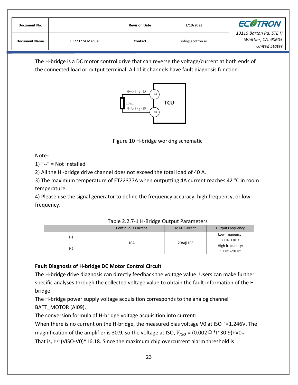| Document No.         |                 | <b>Revision Date</b> | 1/19/2022       | <b>ECOTRON</b>                                                        |
|----------------------|-----------------|----------------------|-----------------|-----------------------------------------------------------------------|
| <b>Document Name</b> | ET22377A Manual | Contact              | info@ecotron.ai | 13115 Barton Rd, STE H<br>Whittier, CA, 90605<br><b>United States</b> |

The H-bridge is a DC motor control drive that can reverse the voltage/current at both ends of the connected load or output terminal. All of it channels have fault diagnosis function.



Figure 10 H-bridge working schematic

Note:

1) " $-$ " = Not Installed

2) All the H -bridge drive channel does not exceed the total load of 40 A.

3) The maximum temperature of ET22377A when outputting 4A current reaches 42 °C in room temperature.

4) Please use the signal generator to define the frequency accuracy, high frequency, or low frequency.

|                | <b>Continuous Current</b> | <b>MAX Current</b> | <b>Output Frequency</b>         |
|----------------|---------------------------|--------------------|---------------------------------|
| H1             | 10A                       | 20A@10S            | Low frequency:<br>2 Hz- 1 KHz   |
| H <sub>2</sub> |                           |                    | High frequency:<br>1 KHz -20KHz |

Table 2.2.7-1 H-Bridge Output Parameters

#### **Fault Diagnosis of H-bridge DC Motor Control Circuit**

The H-bridge drive diagnosis can directly feedback the voltage value. Users can make further specific analyses through the collected voltage value to obtain the fault information of the H bridge.

The H-bridge power supply voltage acquisition corresponds to the analog channel BATT\_MOTOR (AI09).

The conversion formula of H-bridge voltage acquisition into current:

When there is no current on the H-bridge, the measured bias voltage V0 at ISO  $\approx$  1.246V. The

magnification of the amplifier is 30.9, so the voltage at ISO,  $V_{ISO}$  = (0.002  $\Omega$  \*I\*30.9)+V0.

That is, I $\approx$ (VISO-V0)\*16.18. Since the maximum chip overcurrent alarm threshold is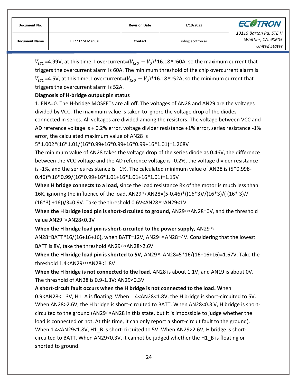| Document No.         |                 | <b>Revision Date</b> | 1/19/2022       | <b>ECOTRON</b>                                                        |  |
|----------------------|-----------------|----------------------|-----------------|-----------------------------------------------------------------------|--|
| <b>Document Name</b> | ET22377A Manual | Contact              | info@ecotron.ai | 13115 Barton Rd, STE H<br>Whittier, CA, 90605<br><b>United States</b> |  |

 $V_{ISO}$ =4.99V, at this time, I overcurrent=( $V_{ISO} - V_0$ )\*16.18≈60A, so the maximum current that triggers the overcurrent alarm is 60A. The minimum threshold of the chip overcurrent alarm is  $V_{ISO}$ =4.5V, at this time, I overcurrent=( $V_{ISO} - V_0$ )\*16.18≈52A, so the minimum current that triggers the overcurrent alarm is 52A.

#### **Diagnosis of H-bridge output pin status**

1. ENA=0. The H-bridge MOSFETs are all off. The voltages of AN28 and AN29 are the voltages divided by VCC. The maximum value is taken to ignore the voltage drop of the diodes connected in series. All voltages are divided among the resistors. The voltage between VCC and AD reference voltage is + 0.2% error, voltage divider resistance +1% error, series resistance -1% error, the calculated maximum value of AN28 is

5\*1.002\*(16\*1.01/(16\*0.99+16\*0.99+16\*0.99+16\*1.01)=1.268V

The minimum value of AN28 takes the voltage drop of the series diode as 0.46V, the difference between the VCC voltage and the AD reference voltage is -0.2%, the voltage divider resistance is -1%, and the series resistance is +1%. The calculated minimum value of AN28 is (5\*0.998- 0.46)\*(16\*0.99/(16\*0.99+16\*1.01+16\*1.01+16\*1.01)=1.15V

**When H bridge connects to a load,** since the load resistance Rx of the motor is much less than 16K, ignoring the influence of the load, AN29 $\approx$ AN28=(5-0.46)\*((16\*3)//(16\*3)/((16\*3)// (16\*3) +16))/3=0.9V. Take the threshold 0.6V<AN28 $≈$ AN29<1V

**When the H bridge load pin is short-circuited to ground,** AN29≈AN28=0V, and the threshold value AN29≈AN28<0.3V

**When the H bridge load pin is short-circuited to the power supply,** AN29≈

AN28=BATT\*16/(16+16+16), when BATT=12V, AN29 $\approx$ AN28=4V. Considering that the lowest BATT is 8V, take the threshold AN29≈AN28>2.6V

**When the H bridge load pin is shorted to 5V,** AN29≈AN28=5\*16/(16+16+16)=1.67V. Take the threshold 1.4<AN29≈AN28<1.8V

**When the H bridge is not connected to the load,** AN28 is about 1.1V, and AN19 is about 0V. The threshold of AN28 is 0.9-1.3V; AN29<0.3V

**A short-circuit fault occurs when the H bridge is not connected to the load. W**hen

0.9<AN28<1.3V, H1\_A is floating. When 1.4<AN28<1.8V, the H bridge is short-circuited to 5V. When AN28>2.6V, the H bridge is short-circuited to BATT. When AN28<0.3 V, H bridge is shortcircuited to the ground (AN29 $\approx$ AN28 in this state, but it is impossible to judge whether the load is connected or not. At this time, it can only report a short-circuit fault to the ground). When 1.4<AN29<1.8V, H1\_B is short-circuited to 5V. When AN29>2.6V, H bridge is shortcircuited to BATT. When AN29<0.3V, it cannot be judged whether the H1\_B is floating or shorted to ground.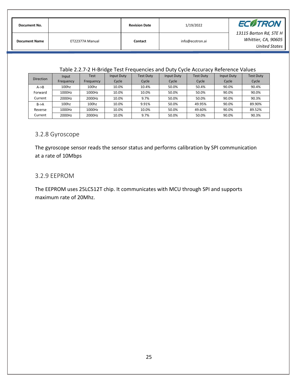| Document No.         |                 | <b>Revision Date</b> | 1/19/2022       | <b>ECOTRON</b>                                                        |  |
|----------------------|-----------------|----------------------|-----------------|-----------------------------------------------------------------------|--|
| <b>Document Name</b> | ET22377A Manual | Contact              | info@ecotron.ai | 13115 Barton Rd, STE H<br>Whittier, CA, 90605<br><b>United States</b> |  |

#### Table 2.2.7-2 H-Bridge Test Frequencies and Duty Cycle Accuracy Reference Values

| <b>Direction</b>  | Input     | Test      | Input Duty | <b>Test Duty</b> | Input Duty | <b>Test Duty</b> | Input Duty | <b>Test Duty</b> |
|-------------------|-----------|-----------|------------|------------------|------------|------------------|------------|------------------|
|                   | Frequency | Frequency | Cycle      | Cycle            | Cycle      | Cycle            | Cycle      | Cycle            |
| $A \rightarrow B$ | 100hz     | 100hz     | 10.0%      | 10.4%            | 50.0%      | 50.4%            | 90.0%      | 90.4%            |
| Forward           | 1000Hz    | 1000Hz    | 10.0%      | 10.0%            | 50.0%      | 50.0%            | 90.0%      | 90.0%            |
| Current           | 2000Hz    | 2000Hz    | 10.0%      | 9.7%             | 50.0%      | 50.0%            | 90.0%      | 90.3%            |
| $B->A$            | 100hz     | 100hz     | 10.0%      | 9.91%            | 50.0%      | 49.95%           | 90.0%      | 89.90%           |
| Reverse           | 1000Hz    | 1000Hz    | 10.0%      | 10.0%            | 50.0%      | 49.60%           | 90.0%      | 89.52%           |
| Current           | 2000Hz    | 2000Hz    | 10.0%      | 9.7%             | 50.0%      | 50.0%            | 90.0%      | 90.3%            |

#### <span id="page-26-0"></span>3.2.8 Gyroscope

The gyroscope sensor reads the sensor status and performs calibration by SPI communication at a rate of 10Mbps

#### <span id="page-26-1"></span>3.2.9 EEPROM

The EEPROM uses 25LC512T chip. It communicates with MCU through SPI and supports maximum rate of 20Mhz.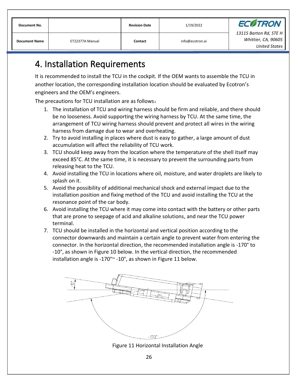| Document No.         |                 | <b>Revision Date</b> | 1/19/2022       | <b>ECOTRON</b>                                                 |  |
|----------------------|-----------------|----------------------|-----------------|----------------------------------------------------------------|--|
| <b>Document Name</b> | ET22377A Manual | Contact              | info@ecotron.ai | 13115 Barton Rd, STE H<br>Whittier, CA, 90605<br>United States |  |

# <span id="page-27-0"></span>4. Installation Requirements

It is recommended to install the TCU in the cockpit. If the OEM wants to assemble the TCU in another location, the corresponding installation location should be evaluated by Ecotron's engineers and the OEM's engineers.

The precautions for TCU installation are as follows:

- 1. The installation of TCU and wiring harness should be firm and reliable, and there should be no looseness. Avoid supporting the wiring harness by TCU. At the same time, the arrangement of TCU wiring harness should prevent and protect all wires in the wiring harness from damage due to wear and overheating.
- 2. Try to avoid installing in places where dust is easy to gather, a large amount of dust accumulation will affect the reliability of TCU work.
- 3. TCU should keep away from the location where the temperature of the shell itself may exceed 85°C. At the same time, it is necessary to prevent the surrounding parts from releasing heat to the TCU.
- 4. Avoid installing the TCU in locations where oil, moisture, and water droplets are likely to splash on it.
- 5. Avoid the possibility of additional mechanical shock and external impact due to the installation position and fixing method of the TCU and avoid installing the TCU at the resonance point of the car body.
- 6. Avoid installing the TCU where it may come into contact with the battery or other parts that are prone to seepage of acid and alkaline solutions, and near the TCU power terminal.
- 7. TCU should be installed in the horizontal and vertical position according to the connector downwards and maintain a certain angle to prevent water from entering the connector. In the horizontal direction, the recommended installation angle is -170° to -10°, as shown in Figure 10 below. In the vertical direction, the recommended installation angle is -170°~ -10°, as shown in Figure 11 below.



Figure 11 Horizontal Installation Angle